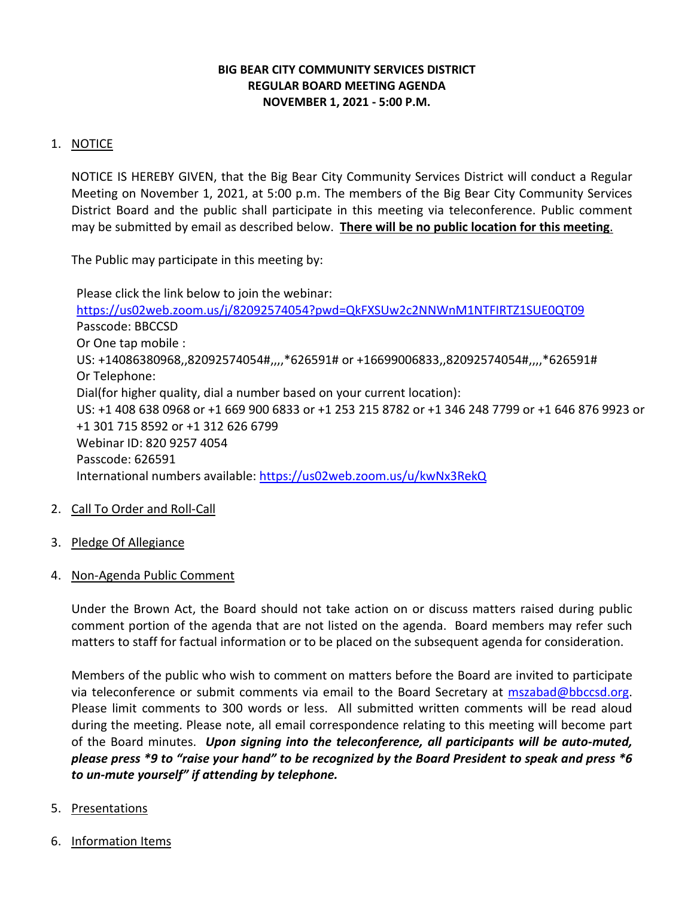## **BIG BEAR CITY COMMUNITY SERVICES DISTRICT REGULAR BOARD MEETING AGENDA NOVEMBER 1, 2021 - 5:00 P.M.**

# 1. NOTICE

NOTICE IS HEREBY GIVEN, that the Big Bear City Community Services District will conduct a Regular Meeting on November 1, 2021, at 5:00 p.m. The members of the Big Bear City Community Services District Board and the public shall participate in this meeting via teleconference. Public comment may be submitted by email as described below. **There will be no public location for this meeting**.

The Public may participate in this meeting by:

Please click the link below to join the webinar: <https://us02web.zoom.us/j/82092574054?pwd=QkFXSUw2c2NNWnM1NTFIRTZ1SUE0QT09> Passcode: BBCCSD Or One tap mobile : US: +14086380968,,82092574054#,,,,\*626591# or +16699006833,,82092574054#,,,,\*626591# Or Telephone: Dial(for higher quality, dial a number based on your current location): US: +1 408 638 0968 or +1 669 900 6833 or +1 253 215 8782 or +1 346 248 7799 or +1 646 876 9923 or +1 301 715 8592 or +1 312 626 6799 Webinar ID: 820 9257 4054 Passcode: 626591 International numbers available:<https://us02web.zoom.us/u/kwNx3RekQ>

- 2. Call To Order and Roll-Call
- 3. Pledge Of Allegiance
- 4. Non-Agenda Public Comment

Under the Brown Act, the Board should not take action on or discuss matters raised during public comment portion of the agenda that are not listed on the agenda. Board members may refer such matters to staff for factual information or to be placed on the subsequent agenda for consideration.

Members of the public who wish to comment on matters before the Board are invited to participate via teleconference or submit comments via email to the Board Secretary at [mszabad@bbccsd.org.](mailto:mszabad@bbccsd.org) Please limit comments to 300 words or less. All submitted written comments will be read aloud during the meeting. Please note, all email correspondence relating to this meeting will become part of the Board minutes. *Upon signing into the teleconference, all participants will be auto-muted, please press \*9 to "raise your hand" to be recognized by the Board President to speak and press \*6 to un-mute yourself" if attending by telephone.*

- 5. Presentations
- 6. Information Items